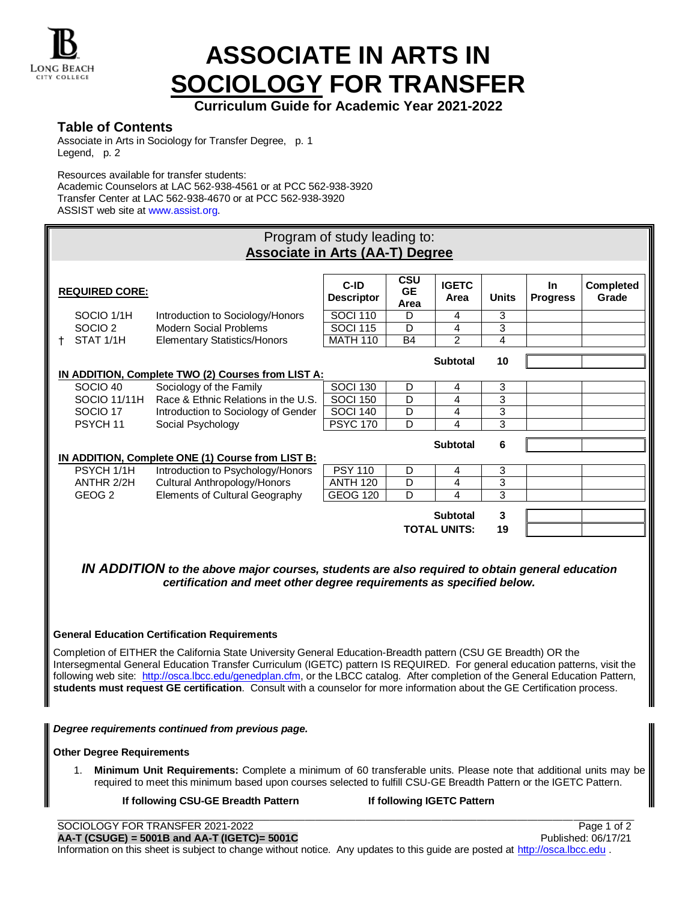

# **ASSOCIATE IN ARTS IN SOCIOLOGY FOR TRANSFER**

**Curriculum Guide for Academic Year 2021-2022**

# **Table of Contents**

Associate in Arts in Sociology for Transfer Degree, p. 1 Legend, p. 2

Resources available for transfer students:

Academic Counselors at LAC 562-938-4561 or at PCC 562-938-3920 Transfer Center at LAC 562-938-4670 or at PCC 562-938-3920 ASSIST web site at www.assist.org.

|    | Program of study leading to:<br><b>Associate in Arts (AA-T) Degree</b> |                                                    |                           |                                 |                                        |              |                              |                           |  |  |
|----|------------------------------------------------------------------------|----------------------------------------------------|---------------------------|---------------------------------|----------------------------------------|--------------|------------------------------|---------------------------|--|--|
|    | <b>REQUIRED CORE:</b>                                                  |                                                    | C-ID<br><b>Descriptor</b> | <b>CSU</b><br><b>GE</b><br>Area | <b>IGETC</b><br>Area                   | <b>Units</b> | <b>In</b><br><b>Progress</b> | <b>Completed</b><br>Grade |  |  |
|    | SOCIO 1/1H                                                             | Introduction to Sociology/Honors                   | <b>SOCI 110</b>           | D                               | 4                                      | 3            |                              |                           |  |  |
|    | SOCIO <sub>2</sub>                                                     | <b>Modern Social Problems</b>                      | <b>SOCI 115</b>           | D                               | 4                                      | 3            |                              |                           |  |  |
| t. | STAT 1/1H                                                              | <b>Elementary Statistics/Honors</b>                | <b>MATH 110</b>           | <b>B4</b>                       | $\overline{2}$                         | 4            |                              |                           |  |  |
|    |                                                                        |                                                    |                           |                                 | <b>Subtotal</b>                        | 10           |                              |                           |  |  |
|    |                                                                        | IN ADDITION, Complete TWO (2) Courses from LIST A: |                           |                                 |                                        |              |                              |                           |  |  |
|    | SOCIO 40                                                               | Sociology of the Family                            | <b>SOCI 130</b>           | D                               | 4                                      | 3            |                              |                           |  |  |
|    | SOCIO 11/11H                                                           | Race & Ethnic Relations in the U.S.                | <b>SOCI 150</b>           | D                               | 4                                      | 3            |                              |                           |  |  |
|    | SOCIO <sub>17</sub>                                                    | Introduction to Sociology of Gender                | <b>SOCI 140</b>           | D                               | 4                                      | 3            |                              |                           |  |  |
|    | PSYCH 11                                                               | Social Psychology                                  | <b>PSYC 170</b>           | D                               | 4                                      | 3            |                              |                           |  |  |
|    |                                                                        | IN ADDITION, Complete ONE (1) Course from LIST B:  |                           |                                 | <b>Subtotal</b>                        | 6            |                              |                           |  |  |
|    | PSYCH 1/1H                                                             | Introduction to Psychology/Honors                  | <b>PSY 110</b>            | D                               | 4                                      | 3            |                              |                           |  |  |
|    | ANTHR 2/2H                                                             | Cultural Anthropology/Honors                       | <b>ANTH 120</b>           | D                               | 4                                      | 3            |                              |                           |  |  |
|    | GEOG <sub>2</sub>                                                      | Elements of Cultural Geography                     | GEOG 120                  | $\overline{D}$                  | $\boldsymbol{\Lambda}$                 | 3            |                              |                           |  |  |
|    |                                                                        |                                                    |                           |                                 | <b>Subtotal</b><br><b>TOTAL UNITS:</b> | 3<br>19      |                              |                           |  |  |

*IN ADDITION to the above major courses, students are also required to obtain general education certification and meet other degree requirements as specified below.*

### **General Education Certification Requirements**

Completion of EITHER the California State University General Education-Breadth pattern (CSU GE Breadth) OR the Intersegmental General Education Transfer Curriculum (IGETC) pattern IS REQUIRED. For general education patterns, visit the following web site: [http://osca.lbcc.edu/genedplan.cfm,](http://osca.lbcc.edu/genedplan.cfm) or the LBCC catalog. After completion of the General Education Pattern, **students must request GE certification**. Consult with a counselor for more information about the GE Certification process.

*Degree requirements continued from previous page.*

### **Other Degree Requirements**

1. **Minimum Unit Requirements:** Complete a minimum of 60 transferable units. Please note that additional units may be required to meet this minimum based upon courses selected to fulfill CSU-GE Breadth Pattern or the IGETC Pattern.

#### **If following CSU-GE Breadth Pattern If following IGETC Pattern**

SOCIOLOGY FOR TRANSFER 2021-2022 **Page 1 of 2 AA-T (CSUGE) = 5001B and AA-T (IGETC)= 5001C** Published: 06/17/21 Information on this sheet is subject to change without notice. Any updates to this quide are posted at [http://osca.lbcc.edu](http://osca.lbcc.edu/).

\_\_\_\_\_\_\_\_\_\_\_\_\_\_\_\_\_\_\_\_\_\_\_\_\_\_\_\_\_\_\_\_\_\_\_\_\_\_\_\_\_\_\_\_\_\_\_\_\_\_\_\_\_\_\_\_\_\_\_\_\_\_\_\_\_\_\_\_\_\_\_\_\_\_\_\_\_\_\_\_\_\_\_\_\_\_\_\_\_\_\_\_\_\_\_\_\_\_\_\_\_\_\_\_\_\_\_\_\_\_\_\_\_\_